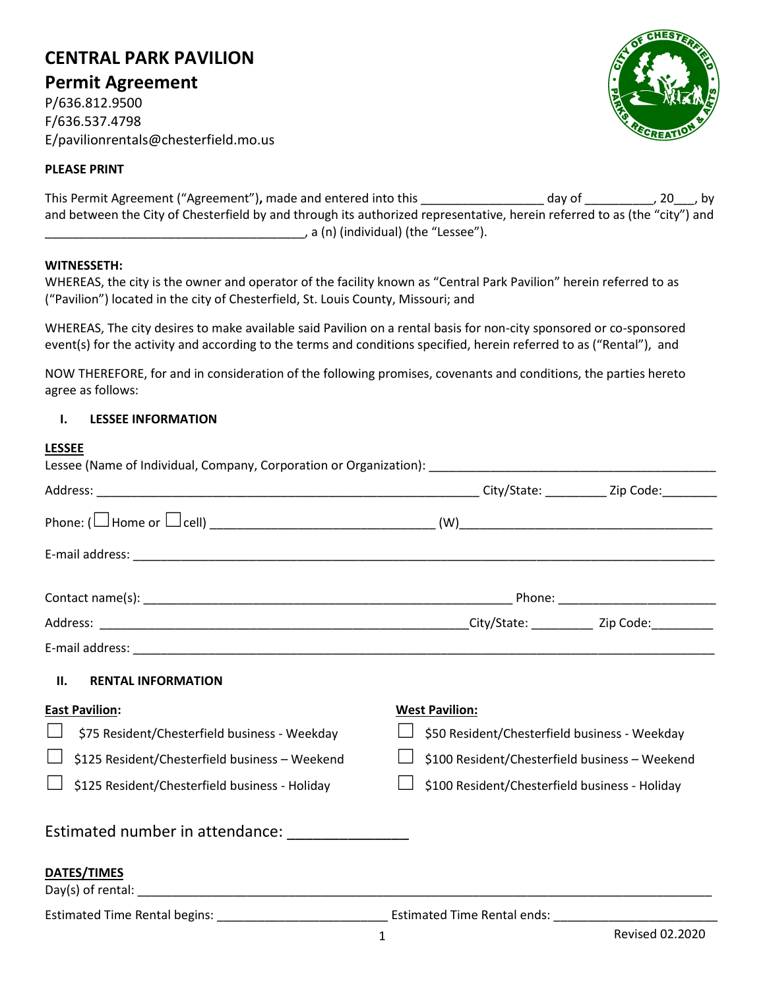# **CENTRAL PARK PAVILION**

**Permit Agreement** P/636.812.9500

F/636.537.4798 E/pavilionrentals@chesterfield.mo.us

#### **PLEASE PRINT**

| This Permit Agreement ("Agreement"), made and entered into this                                                           | day of | , 20, by |
|---------------------------------------------------------------------------------------------------------------------------|--------|----------|
| and between the City of Chesterfield by and through its authorized representative, herein referred to as (the "city") and |        |          |
| , a (n) (individual) (the "Lessee").                                                                                      |        |          |

#### **WITNESSETH:**

| WHEREAS, the city is the owner and operator of the facility known as "Central Park Pavilion" herein referred to as |  |
|--------------------------------------------------------------------------------------------------------------------|--|
| ("Pavilion") located in the city of Chesterfield, St. Louis County, Missouri; and                                  |  |

WHEREAS, The city desires to make available said Pavilion on a rental basis for non-city sponsored or co-sponsored event(s) for the activity and according to the terms and conditions specified, herein referred to as ("Rental"), and

NOW THEREFORE, for and in consideration of the following promises, covenants and conditions, the parties hereto agree as follows:

### **I. LESSEE INFORMATION**

| <b>LESSEE</b>                                   |                                                |
|-------------------------------------------------|------------------------------------------------|
|                                                 |                                                |
|                                                 |                                                |
|                                                 |                                                |
|                                                 |                                                |
|                                                 |                                                |
|                                                 |                                                |
|                                                 |                                                |
|                                                 |                                                |
| П.<br><b>RENTAL INFORMATION</b>                 |                                                |
| <b>East Pavilion:</b>                           | <b>West Pavilion:</b>                          |
| \$75 Resident/Chesterfield business - Weekday   | \$50 Resident/Chesterfield business - Weekday  |
| \$125 Resident/Chesterfield business - Weekend  | \$100 Resident/Chesterfield business - Weekend |
| \$125 Resident/Chesterfield business - Holiday  | \$100 Resident/Chesterfield business - Holiday |
| Estimated number in attendance: _______________ |                                                |
| <b>DATES/TIMES</b>                              |                                                |
|                                                 | Estimated Time Rental ends: ________________   |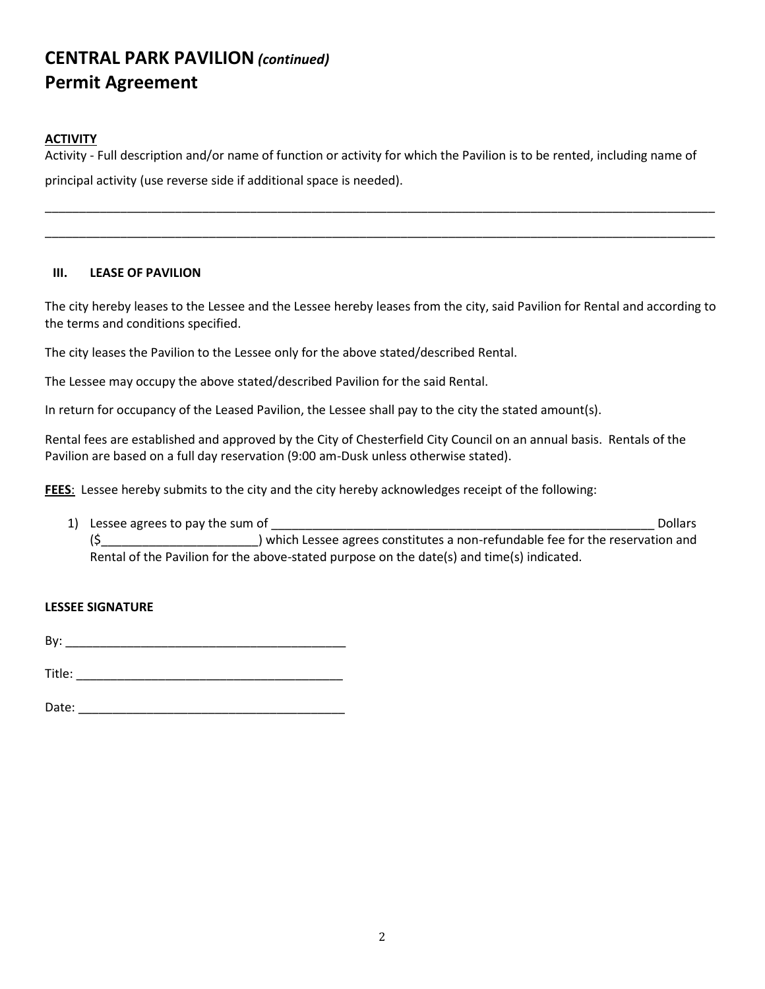#### **ACTIVITY**

Activity - Full description and/or name of function or activity for which the Pavilion is to be rented, including name of principal activity (use reverse side if additional space is needed).

\_\_\_\_\_\_\_\_\_\_\_\_\_\_\_\_\_\_\_\_\_\_\_\_\_\_\_\_\_\_\_\_\_\_\_\_\_\_\_\_\_\_\_\_\_\_\_\_\_\_\_\_\_\_\_\_\_\_\_\_\_\_\_\_\_\_\_\_\_\_\_\_\_\_\_\_\_\_\_\_\_\_\_\_\_\_\_\_\_\_\_\_\_\_\_\_\_\_

\_\_\_\_\_\_\_\_\_\_\_\_\_\_\_\_\_\_\_\_\_\_\_\_\_\_\_\_\_\_\_\_\_\_\_\_\_\_\_\_\_\_\_\_\_\_\_\_\_\_\_\_\_\_\_\_\_\_\_\_\_\_\_\_\_\_\_\_\_\_\_\_\_\_\_\_\_\_\_\_\_\_\_\_\_\_\_\_\_\_\_\_\_\_\_\_\_\_

#### **III. LEASE OF PAVILION**

The city hereby leases to the Lessee and the Lessee hereby leases from the city, said Pavilion for Rental and according to the terms and conditions specified.

The city leases the Pavilion to the Lessee only for the above stated/described Rental.

The Lessee may occupy the above stated/described Pavilion for the said Rental.

In return for occupancy of the Leased Pavilion, the Lessee shall pay to the city the stated amount(s).

Rental fees are established and approved by the City of Chesterfield City Council on an annual basis. Rentals of the Pavilion are based on a full day reservation (9:00 am-Dusk unless otherwise stated).

**FEES**: Lessee hereby submits to the city and the city hereby acknowledges receipt of the following:

1) Lessee agrees to pay the sum of the sum of the sum of the sum of the sum of the sum of the sum of the sum of the sum of the sum of the sum of the sum of the sum of the sum of the sum of the sum of the sum of the sum of (\$\_\_\_\_\_\_\_\_\_\_\_\_\_\_\_\_\_\_\_\_\_\_\_) which Lessee agrees constitutes a non-refundable fee for the reservation and Rental of the Pavilion for the above-stated purpose on the date(s) and time(s) indicated.

#### **LESSEE SIGNATURE**

By: \_\_\_\_\_\_\_\_\_\_\_\_\_\_\_\_\_\_\_\_\_\_\_\_\_\_\_\_\_\_\_\_\_\_\_\_\_\_\_\_\_

Title: \_\_\_\_\_\_\_\_\_\_\_\_\_\_\_\_\_\_\_\_\_\_\_\_\_\_\_\_\_\_\_\_\_\_\_\_\_\_\_

Date:  $\Box$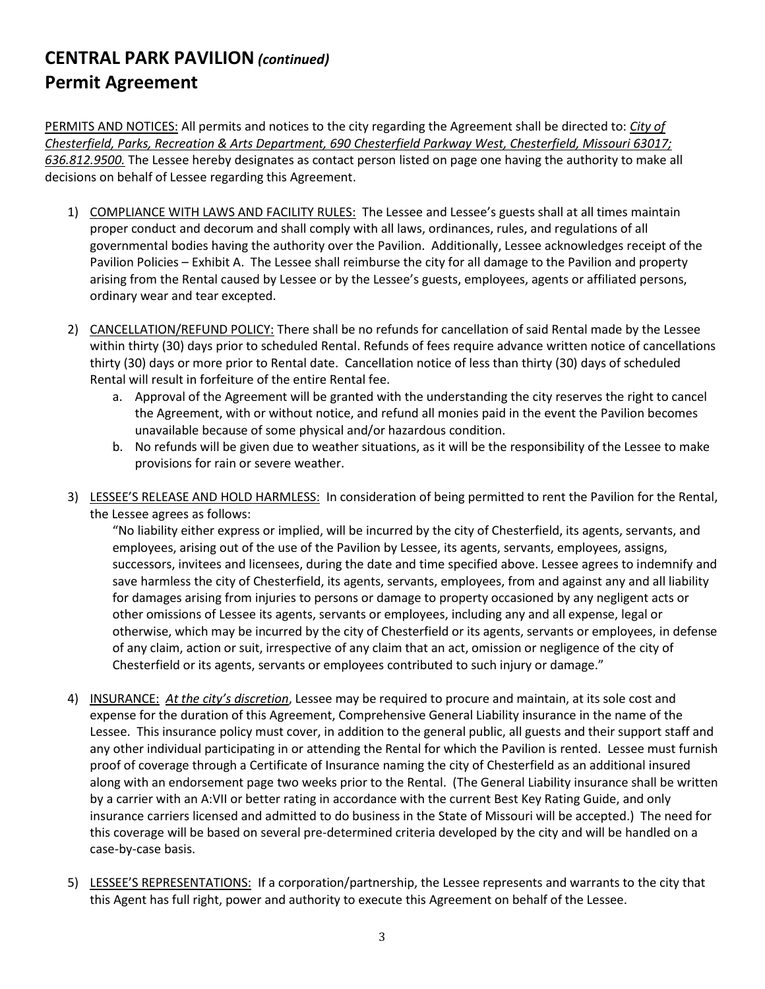PERMITS AND NOTICES: All permits and notices to the city regarding the Agreement shall be directed to: *City of Chesterfield, Parks, Recreation & Arts Department, 690 Chesterfield Parkway West, Chesterfield, Missouri 63017; 636.812.9500.* The Lessee hereby designates as contact person listed on page one having the authority to make all decisions on behalf of Lessee regarding this Agreement.

- 1) COMPLIANCE WITH LAWS AND FACILITY RULES: The Lessee and Lessee's guests shall at all times maintain proper conduct and decorum and shall comply with all laws, ordinances, rules, and regulations of all governmental bodies having the authority over the Pavilion. Additionally, Lessee acknowledges receipt of the Pavilion Policies – Exhibit A. The Lessee shall reimburse the city for all damage to the Pavilion and property arising from the Rental caused by Lessee or by the Lessee's guests, employees, agents or affiliated persons, ordinary wear and tear excepted.
- 2) CANCELLATION/REFUND POLICY: There shall be no refunds for cancellation of said Rental made by the Lessee within thirty (30) days prior to scheduled Rental. Refunds of fees require advance written notice of cancellations thirty (30) days or more prior to Rental date. Cancellation notice of less than thirty (30) days of scheduled Rental will result in forfeiture of the entire Rental fee.
	- a. Approval of the Agreement will be granted with the understanding the city reserves the right to cancel the Agreement, with or without notice, and refund all monies paid in the event the Pavilion becomes unavailable because of some physical and/or hazardous condition.
	- b. No refunds will be given due to weather situations, as it will be the responsibility of the Lessee to make provisions for rain or severe weather.
- 3) LESSEE'S RELEASE AND HOLD HARMLESS: In consideration of being permitted to rent the Pavilion for the Rental, the Lessee agrees as follows:

"No liability either express or implied, will be incurred by the city of Chesterfield, its agents, servants, and employees, arising out of the use of the Pavilion by Lessee, its agents, servants, employees, assigns, successors, invitees and licensees, during the date and time specified above. Lessee agrees to indemnify and save harmless the city of Chesterfield, its agents, servants, employees, from and against any and all liability for damages arising from injuries to persons or damage to property occasioned by any negligent acts or other omissions of Lessee its agents, servants or employees, including any and all expense, legal or otherwise, which may be incurred by the city of Chesterfield or its agents, servants or employees, in defense of any claim, action or suit, irrespective of any claim that an act, omission or negligence of the city of Chesterfield or its agents, servants or employees contributed to such injury or damage."

- 4) INSURANCE:*At the city's discretion*, Lessee may be required to procure and maintain, at its sole cost and expense for the duration of this Agreement, Comprehensive General Liability insurance in the name of the Lessee. This insurance policy must cover, in addition to the general public, all guests and their support staff and any other individual participating in or attending the Rental for which the Pavilion is rented. Lessee must furnish proof of coverage through a Certificate of Insurance naming the city of Chesterfield as an additional insured along with an endorsement page two weeks prior to the Rental. (The General Liability insurance shall be written by a carrier with an A:VII or better rating in accordance with the current Best Key Rating Guide, and only insurance carriers licensed and admitted to do business in the State of Missouri will be accepted.) The need for this coverage will be based on several pre-determined criteria developed by the city and will be handled on a case-by-case basis.
- 5) LESSEE'S REPRESENTATIONS:If a corporation/partnership, the Lessee represents and warrants to the city that this Agent has full right, power and authority to execute this Agreement on behalf of the Lessee.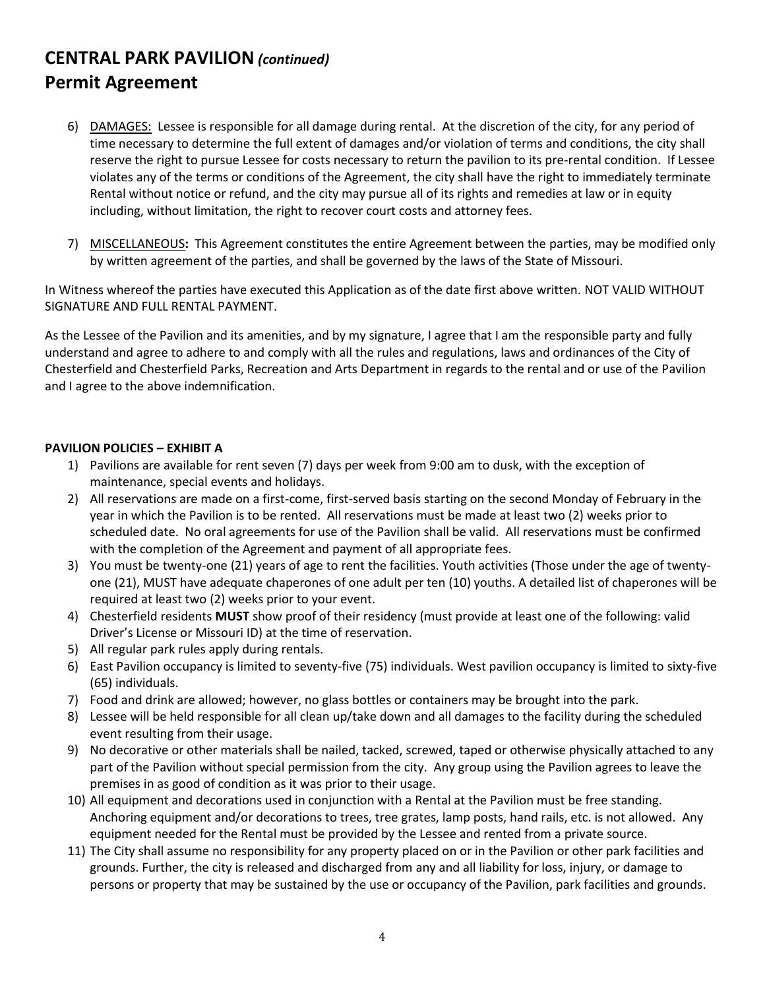- 6) DAMAGES: Lessee is responsible for all damage during rental. At the discretion of the city, for any period of time necessary to determine the full extent of damages and/or violation of terms and conditions, the city shall reserve the right to pursue Lessee for costs necessary to return the pavilion to its pre-rental condition. If Lessee violates any of the terms or conditions of the Agreement, the city shall have the right to immediately terminate Rental without notice or refund, and the city may pursue all of its rights and remedies at law or in equity including, without limitation, the right to recover court costs and attorney fees.
- 7) MISCELLANEOUS**:** This Agreement constitutes the entire Agreement between the parties, may be modified only by written agreement of the parties, and shall be governed by the laws of the State of Missouri.

In Witness whereof the parties have executed this Application as of the date first above written. NOT VALID WITHOUT SIGNATURE AND FULL RENTAL PAYMENT.

As the Lessee of the Pavilion and its amenities, and by my signature, I agree that I am the responsible party and fully understand and agree to adhere to and comply with all the rules and regulations, laws and ordinances of the City of Chesterfield and Chesterfield Parks, Recreation and Arts Department in regards to the rental and or use of the Pavilion and I agree to the above indemnification.

#### **PAVILION POLICIES – EXHIBIT A**

- 1) Pavilions are available for rent seven (7) days per week from 9:00 am to dusk, with the exception of maintenance, special events and holidays.
- 2) All reservations are made on a first-come, first-served basis starting on the second Monday of February in the year in which the Pavilion is to be rented. All reservations must be made at least two (2) weeks prior to scheduled date. No oral agreements for use of the Pavilion shall be valid. All reservations must be confirmed with the completion of the Agreement and payment of all appropriate fees.
- 3) You must be twenty-one (21) years of age to rent the facilities. Youth activities (Those under the age of twentyone (21), MUST have adequate chaperones of one adult per ten (10) youths. A detailed list of chaperones will be required at least two (2) weeks prior to your event.
- 4) Chesterfield residents **MUST** show proof of their residency (must provide at least one of the following: valid Driver's License or Missouri ID) at the time of reservation.
- 5) All regular park rules apply during rentals.
- 6) East Pavilion occupancy is limited to seventy-five (75) individuals. West pavilion occupancy is limited to sixty-five (65) individuals.
- 7) Food and drink are allowed; however, no glass bottles or containers may be brought into the park.
- 8) Lessee will be held responsible for all clean up/take down and all damages to the facility during the scheduled event resulting from their usage.
- 9) No decorative or other materials shall be nailed, tacked, screwed, taped or otherwise physically attached to any part of the Pavilion without special permission from the city. Any group using the Pavilion agrees to leave the premises in as good of condition as it was prior to their usage.
- 10) All equipment and decorations used in conjunction with a Rental at the Pavilion must be free standing. Anchoring equipment and/or decorations to trees, tree grates, lamp posts, hand rails, etc. is not allowed. Any equipment needed for the Rental must be provided by the Lessee and rented from a private source.
- 11) The City shall assume no responsibility for any property placed on or in the Pavilion or other park facilities and grounds. Further, the city is released and discharged from any and all liability for loss, injury, or damage to persons or property that may be sustained by the use or occupancy of the Pavilion, park facilities and grounds.